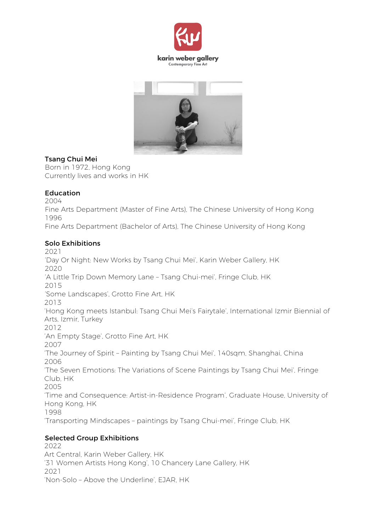



## Tsang Chui Mei

Born in 1972, Hong Kong Currently lives and works in HK

## Education

2004 Fine Arts Department (Master of Fine Arts), The Chinese University of Hong Kong 1996 Fine Arts Department (Bachelor of Arts), The Chinese University of Hong Kong

## Solo Exhibitions

2021 'Day Or Night: New Works by Tsang Chui Mei', Karin Weber Gallery, HK 2020 'A Little Trip Down Memory Lane – Tsang Chui-mei', Fringe Club, HK 2015 'Some Landscapes', Grotto Fine Art, HK 2013 'Hong Kong meets Istanbul: Tsang Chui Mei's Fairytale', International Izmir Biennial of Arts, Izmir, Turkey 2012 'An Empty Stage', Grotto Fine Art, HK 2007 'The Journey of Spirit – Painting by Tsang Chui Mei', 140sqm, Shanghai, China 2006 'The Seven Emotions: The Variations of Scene Paintings by Tsang Chui Mei', Fringe Club, HK 2005 'Time and Consequence: Artist-in-Residence Program', Graduate House, University of Hong Kong, HK 1998 'Transporting Mindscapes – paintings by Tsang Chui-mei', Fringe Club, HK

# Selected Group Exhibitions

2022 Art Central, Karin Weber Gallery, HK '31 Women Artists Hong Kong', 10 Chancery Lane Gallery, HK 2021 'Non-Solo – Above the Underline', EJAR, HK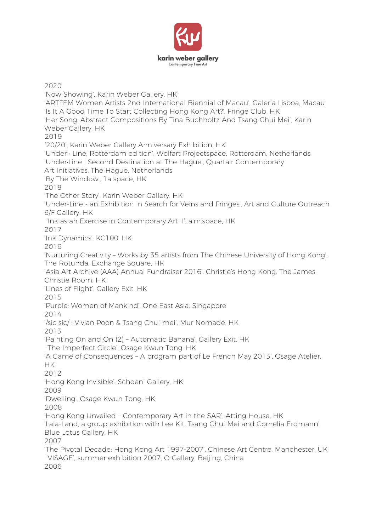

2020 'Now Showing', Karin Weber Gallery, HK 'ARTFEM Women Artists 2nd International Biennial of Macau', Galeria Lisboa, Macau 'Is It A Good Time To Start Collecting Hong Kong Art?', Fringe Club, HK 'Her Song: Abstract Compositions By Tina Buchholtz And Tsang Chui Mei', Karin Weber Gallery, HK 2019 '20/20', Karin Weber Gallery Anniversary Exhibition, HK 'Under • Line, Rotterdam edition', Wolfart Projectspace, Rotterdam, Netherlands 'Under•Line | Second Destination at The Hague', Quartair Contemporary Art Initiatives, The Hague, Netherlands 'By The Window', 1a space, HK 2018 'The Other Story', Karin Weber Gallery, HK 'Under-Line - an Exhibition in Search for Veins and Fringes', Art and Culture Outreach 6/F Gallery, HK 'Ink as an Exercise in Contemporary Art II'. a.m.space, HK 2017 'Ink Dynamics', KC100, HK 2016 'Nurturing Creativity – Works by 35 artists from The Chinese University of Hong Kong', The Rotunda, Exchange Square, HK 'Asia Art Archive (AAA) Annual Fundraiser 2016', Christie's Hong Kong, The James Christie Room, HK 'Lines of Flight', Gallery Exit, HK 2015 'Purple: Women of Mankind', One East Asia, Singapore 2014 '/sic sic/ : Vivian Poon & Tsang Chui-mei', Mur Nomade, HK 2013 'Painting On and On (2) – Automatic Banana', Gallery Exit, HK 'The Imperfect Circle', Osage Kwun Tong, HK 'A Game of Consequences – A program part of Le French May 2013', Osage Atelier, HK 2012 'Hong Kong Invisible', Schoeni Gallery, HK 2009 'Dwelling', Osage Kwun Tong, HK 2008 'Hong Kong Unveiled – Contemporary Art in the SAR', Atting House, HK 'Lala-Land, a group exhibition with Lee Kit, Tsang Chui Mei and Cornelia Erdmann'. Blue Lotus Gallery, HK 2007 'The Pivotal Decade: Hong Kong Art 1997-2007', Chinese Art Centre, Manchester, UK 'VISAGE', summer exhibition 2007, O Gallery, Beijing, China 2006